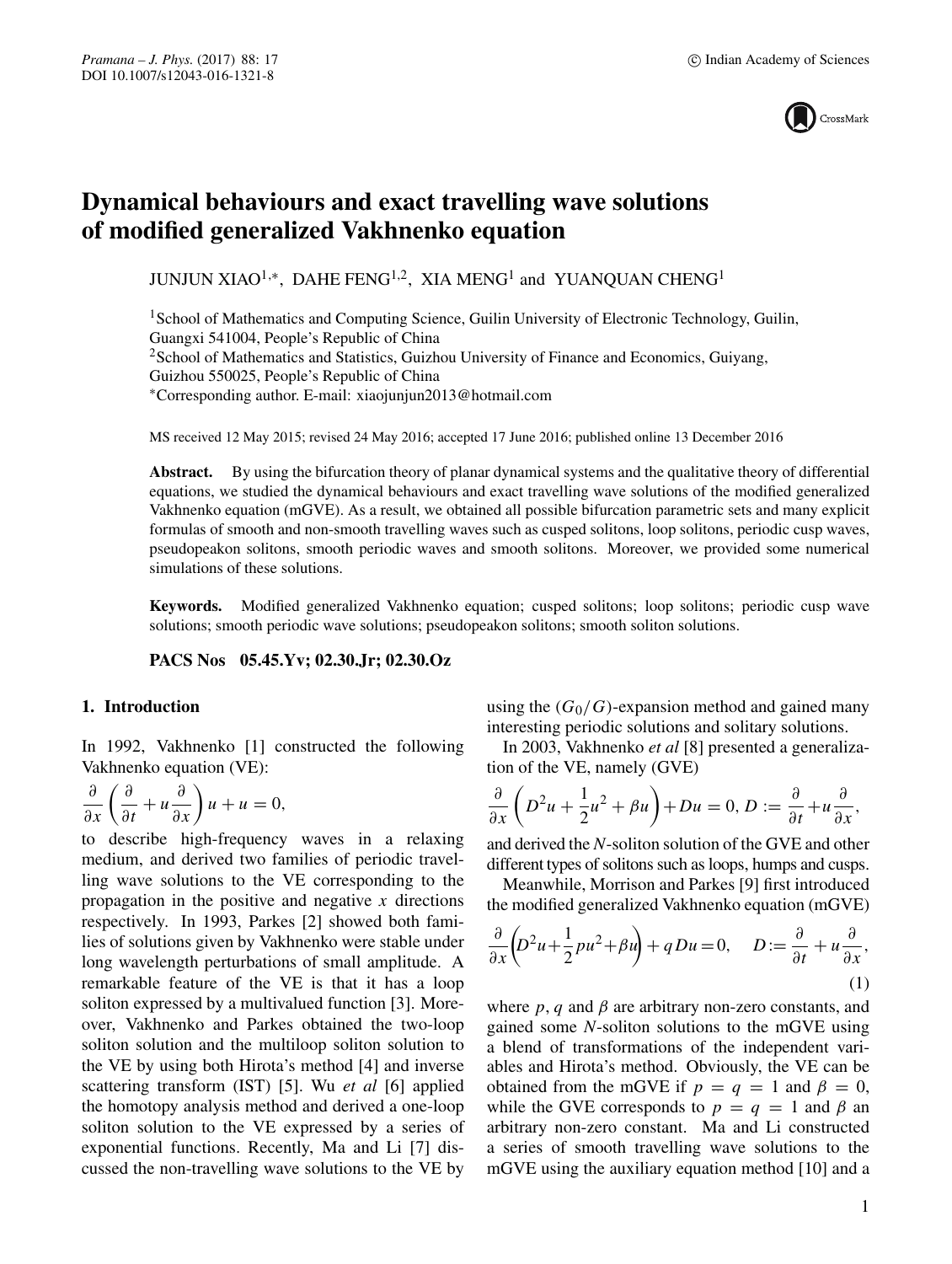

# **Dynamical behaviours and exact travelling wave solutions of modified generalized Vakhnenko equation**

JUNJUN XIAO<sup>1,∗</sup>, DAHE FENG<sup>1,2</sup>, XIA MENG<sup>1</sup> and YUANQUAN CHENG<sup>1</sup>

<sup>1</sup> School of Mathematics and Computing Science, Guilin University of Electronic Technology, Guilin, Guangxi 541004, People's Republic of China <sup>2</sup>School of Mathematics and Statistics, Guizhou University of Finance and Economics, Guiyang, Guizhou 550025, People's Republic of China ∗Corresponding author. E-mail: xiaojunjun2013@hotmail.com

MS received 12 May 2015; revised 24 May 2016; accepted 17 June 2016; published online 13 December 2016

**Abstract.** By using the bifurcation theory of planar dynamical systems and the qualitative theory of differential equations, we studied the dynamical behaviours and exact travelling wave solutions of the modified generalized Vakhnenko equation (mGVE). As a result, we obtained all possible bifurcation parametric sets and many explicit formulas of smooth and non-smooth travelling waves such as cusped solitons, loop solitons, periodic cusp waves, pseudopeakon solitons, smooth periodic waves and smooth solitons. Moreover, we provided some numerical simulations of these solutions.

**Keywords.** Modified generalized Vakhnenko equation; cusped solitons; loop solitons; periodic cusp wave solutions; smooth periodic wave solutions; pseudopeakon solitons; smooth soliton solutions.

**PACS Nos 05.45.Yv; 02.30.Jr; 02.30.Oz**

### **1. Introduction**

In 1992, Vakhnenko [1] constructed the following Vakhnenko equation (VE):

$$
\frac{\partial}{\partial x} \left( \frac{\partial}{\partial t} + u \frac{\partial}{\partial x} \right) u + u = 0,
$$
  
to describe high-frequency waves in a relaxing

medium, and derived two families of periodic travelling wave solutions to the VE corresponding to the propagation in the positive and negative  $x$  directions respectively. In 1993, Parkes [2] showed both families of solutions given by Vakhnenko were stable under long wavelength perturbations of small amplitude. A remarkable feature of the VE is that it has a loop soliton expressed by a multivalued function [3]. Moreover, Vakhnenko and Parkes obtained the two-loop soliton solution and the multiloop soliton solution to the VE by using both Hirota's method [4] and inverse scattering transform (IST) [5]. Wu *et al* [6] applied the homotopy analysis method and derived a one-loop soliton solution to the VE expressed by a series of exponential functions. Recently, Ma and Li [7] discussed the non-travelling wave solutions to the VE by using the  $(G_0/G)$ -expansion method and gained many interesting periodic solutions and solitary solutions.

In 2003, Vakhnenko *et al* [8] presented a generalization of the VE, namely (GVE)

$$
\frac{\partial}{\partial x} \left( D^2 u + \frac{1}{2} u^2 + \beta u \right) + Du = 0, D := \frac{\partial}{\partial t} + u \frac{\partial}{\partial x},
$$
  
and derived the *N*-soliton solution of the GVE and other

different types of solitons such as loops, humps and cusps.

Meanwhile, Morrison and Parkes [9] first introduced the modified generalized Vakhnenko equation (mGVE)

$$
\frac{\partial}{\partial x}\left(D^2u + \frac{1}{2}pu^2 + \beta u\right) + qDu = 0, \quad D := \frac{\partial}{\partial t} + u\frac{\partial}{\partial x},\tag{1}
$$

where  $p$ , q and  $\beta$  are arbitrary non-zero constants, and gained some *N*-soliton solutions to the mGVE using a blend of transformations of the independent variables and Hirota's method. Obviously, the VE can be obtained from the mGVE if  $p = q = 1$  and  $\beta = 0$ , while the GVE corresponds to  $p = q = 1$  and  $\beta$  and arbitrary non-zero constant. Ma and Li constructed a series of smooth travelling wave solutions to the mGVE using the auxiliary equation method [10] and a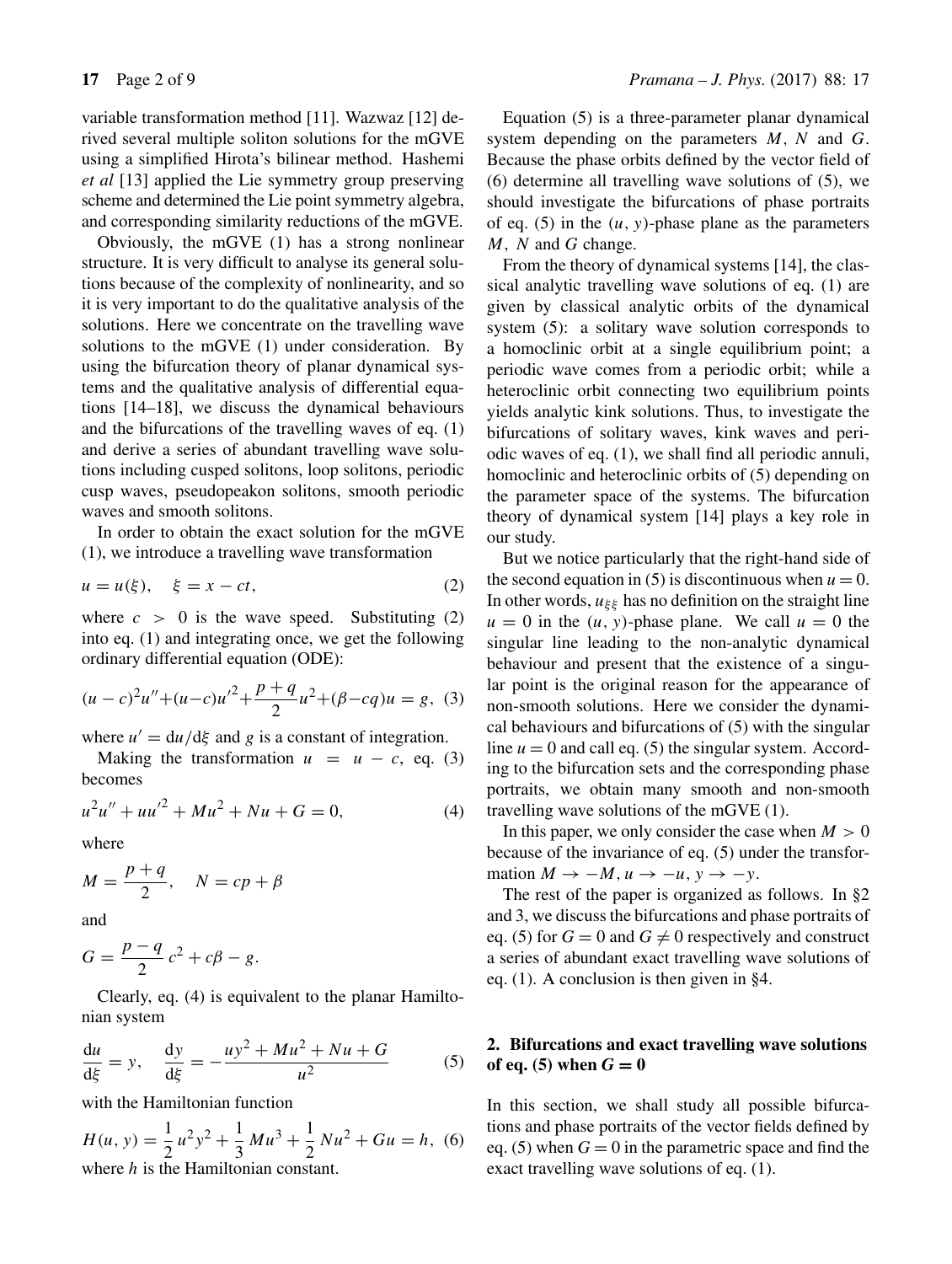variable transformation method [11]. Wazwaz [12] derived several multiple soliton solutions for the mGVE using a simplified Hirota's bilinear method. Hashemi *et al* [13] applied the Lie symmetry group preserving scheme and determined the Lie point symmetry algebra, and corresponding similarity reductions of the mGVE.

Obviously, the mGVE (1) has a strong nonlinear structure. It is very difficult to analyse its general solutions because of the complexity of nonlinearity, and so it is very important to do the qualitative analysis of the solutions. Here we concentrate on the travelling wave solutions to the mGVE (1) under consideration. By using the bifurcation theory of planar dynamical systems and the qualitative analysis of differential equations [14–18], we discuss the dynamical behaviours and the bifurcations of the travelling waves of eq. (1) and derive a series of abundant travelling wave solutions including cusped solitons, loop solitons, periodic cusp waves, pseudopeakon solitons, smooth periodic waves and smooth solitons.

In order to obtain the exact solution for the mGVE (1), we introduce a travelling wave transformation

$$
u = u(\xi), \quad \xi = x - ct,
$$
 (2)

where  $c > 0$  is the wave speed. Substituting (2) into eq. (1) and integrating once, we get the following ordinary differential equation (ODE):

$$
(u-c)^{2}u'' + (u-c)u'^{2} + \frac{p+q}{2}u^{2} + (\beta - cq)u = g, (3)
$$

where  $u' = du/d\xi$  and g is a constant of integration.

Making the transformation  $u = u - c$ , eq. (3) becomes

$$
u2u'' + uu'2 + Mu2 + Nu + G = 0,
$$
 (4)

where

$$
M = \frac{p+q}{2}, \quad N = cp + \beta
$$

and

$$
G = \frac{p-q}{2}c^2 + c\beta - g.
$$

Clearly, eq. (4) is equivalent to the planar Hamiltonian system

$$
\frac{du}{d\xi} = y, \quad \frac{dy}{d\xi} = -\frac{uy^2 + Mu^2 + Nu + G}{u^2}
$$
(5)

with the Hamiltonian function

$$
H(u, y) = \frac{1}{2}u^2y^2 + \frac{1}{3}Mu^3 + \frac{1}{2}Nu^2 + Gu = h,
$$
 (6)  
where *h* is the Hamiltonian constant.

Equation (5) is a three-parameter planar dynamical system depending on the parameters  $M$ ,  $N$  and  $G$ . Because the phase orbits defined by the vector field of (6) determine all travelling wave solutions of (5), we should investigate the bifurcations of phase portraits of eq. (5) in the  $(u, y)$ -phase plane as the parameters  $M$ ,  $N$  and  $G$  change.

From the theory of dynamical systems [14], the classical analytic travelling wave solutions of eq. (1) are given by classical analytic orbits of the dynamical system (5): a solitary wave solution corresponds to a homoclinic orbit at a single equilibrium point; a periodic wave comes from a periodic orbit; while a heteroclinic orbit connecting two equilibrium points yields analytic kink solutions. Thus, to investigate the bifurcations of solitary waves, kink waves and periodic waves of eq. (1), we shall find all periodic annuli, homoclinic and heteroclinic orbits of (5) depending on the parameter space of the systems. The bifurcation theory of dynamical system [14] plays a key role in our study.

But we notice particularly that the right-hand side of the second equation in (5) is discontinuous when  $u = 0$ . In other words,  $u_{\xi\xi}$  has no definition on the straight line  $u = 0$  in the  $(u, y)$ -phase plane. We call  $u = 0$  the singular line leading to the non-analytic dynamical behaviour and present that the existence of a singular point is the original reason for the appearance of non-smooth solutions. Here we consider the dynamical behaviours and bifurcations of (5) with the singular line  $u = 0$  and call eq. (5) the singular system. According to the bifurcation sets and the corresponding phase portraits, we obtain many smooth and non-smooth travelling wave solutions of the mGVE (1).

In this paper, we only consider the case when  $M > 0$ because of the invariance of eq. (5) under the transformation  $M \to -M$ ,  $u \to -u$ ,  $y \to -y$ .

The rest of the paper is organized as follows. In §2 and 3, we discuss the bifurcations and phase portraits of eq. (5) for  $G = 0$  and  $G \neq 0$  respectively and construct a series of abundant exact travelling wave solutions of eq. (1). A conclusion is then given in §4.

# **2. Bifurcations and exact travelling wave solutions** of eq. (5) when  $G = 0$

In this section, we shall study all possible bifurcations and phase portraits of the vector fields defined by eq. (5) when  $G = 0$  in the parametric space and find the exact travelling wave solutions of eq. (1).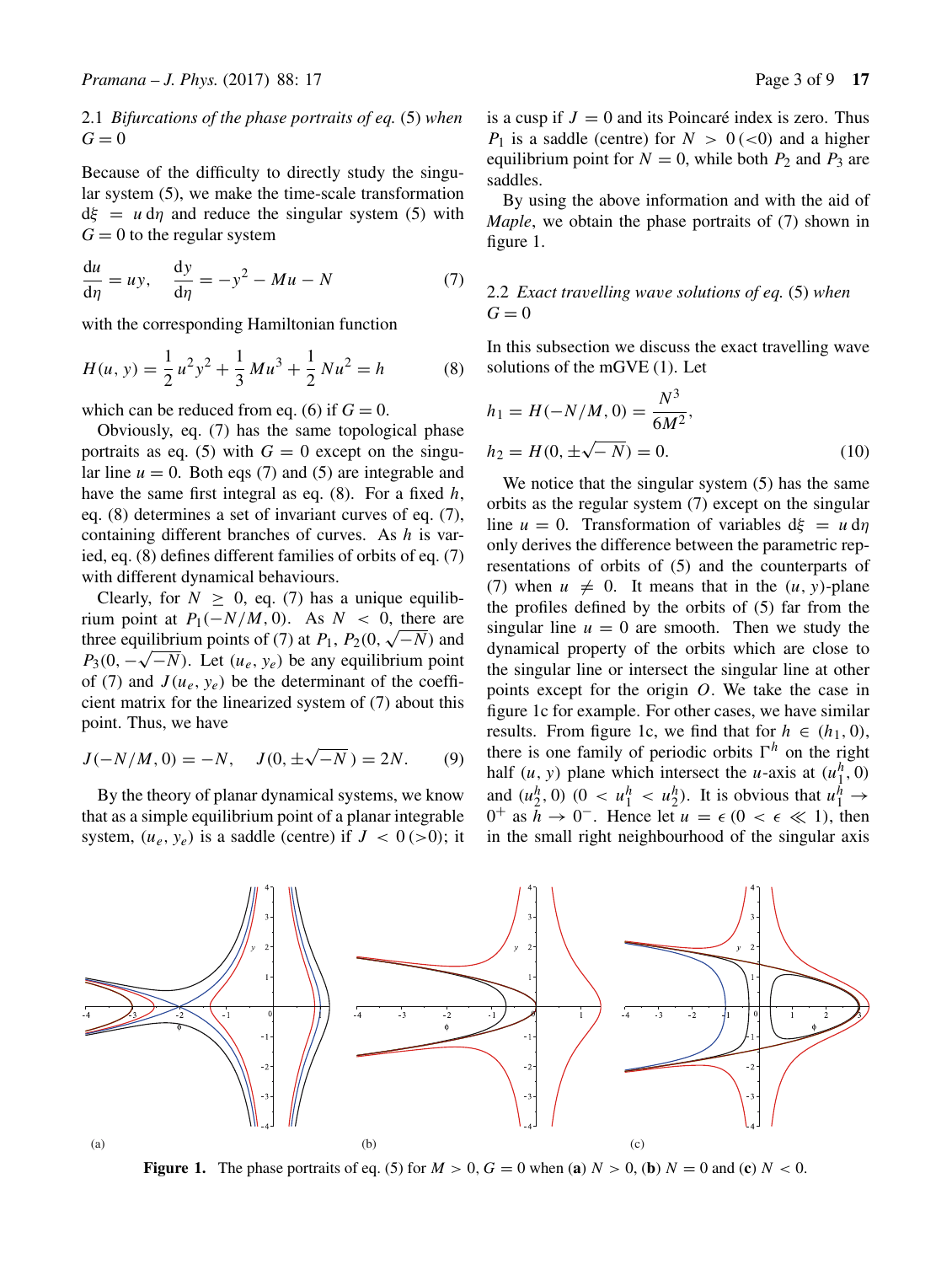2.1 *Bifurcations of the phase portraits of eq.* (5) *when*  $G = 0$ 

Because of the difficulty to directly study the singular system (5), we make the time-scale transformation  $d\xi = u \, d\eta$  and reduce the singular system (5) with  $G = 0$  to the regular system

$$
\frac{du}{d\eta} = uy, \quad \frac{dy}{d\eta} = -y^2 - Mu - N \tag{7}
$$

with the corresponding Hamiltonian function

$$
H(u, y) = \frac{1}{2}u^2y^2 + \frac{1}{3}Mu^3 + \frac{1}{2}Nu^2 = h
$$
 (8)

which can be reduced from eq. (6) if  $G = 0$ .

Obviously, eq. (7) has the same topological phase portraits as eq. (5) with  $G = 0$  except on the singular line  $u = 0$ . Both eqs (7) and (5) are integrable and have the same first integral as eq.  $(8)$ . For a fixed h, eq. (8) determines a set of invariant curves of eq. (7), containing different branches of curves. As h is varied, eq. (8) defines different families of orbits of eq. (7) with different dynamical behaviours.

Clearly, for  $N \geq 0$ , eq. (7) has a unique equilibrium point at  $P_1(-N/M, 0)$ . As  $N < 0$ , there are three equilibrium points of (7) at  $P_1$ ,  $P_2(0, \sqrt{-N})$  and<br> $P_2(0, -\sqrt{-N})$ . Let  $(u, v)$  be any equilibrium point P<sub>3</sub>(0,  $-\sqrt{-N}$ ). Let (u<sub>e</sub>, y<sub>e</sub>) be any equilibrium point<br>of (7) and  $I(u, y)$  be the determinant of the coeffiof (7) and  $J(u_e, y_e)$  be the determinant of the coefficient matrix for the linearized system of (7) about this point. Thus, we have

$$
J(-N/M, 0) = -N, \quad J(0, \pm \sqrt{-N}) = 2N. \tag{9}
$$

By the theory of planar dynamical systems, we know that as a simple equilibrium point of a planar integrable system,  $(u_e, y_e)$  is a saddle (centre) if  $J < 0$  (>0); it is a cusp if  $J = 0$  and its Poincaré index is zero. Thus  $P_1$  is a saddle (centre) for  $N > 0$  (<0) and a higher equilibrium point for  $N = 0$ , while both  $P_2$  and  $P_3$  are saddles.

By using the above information and with the aid of *Maple*, we obtain the phase portraits of (7) shown in figure 1.

## 2.2 *Exact tra*v*elling wa*v*e solutions of eq.* (5) *when*  $G = 0$

In this subsection we discuss the exact travelling wave solutions of the mGVE (1). Let

$$
h_1 = H(-N/M, 0) = \frac{N^3}{6M^2},
$$
  
\n
$$
h_2 = H(0, \pm \sqrt{-N}) = 0.
$$
 (10)

We notice that the singular system  $(5)$  has the same orbits as the regular system (7) except on the singular line  $u = 0$ . Transformation of variables  $d\xi = u \, d\eta$ only derives the difference between the parametric representations of orbits of (5) and the counterparts of (7) when  $u \neq 0$ . It means that in the  $(u, y)$ -plane the profiles defined by the orbits of (5) far from the singular line  $u = 0$  are smooth. Then we study the dynamical property of the orbits which are close to the singular line or intersect the singular line at other points except for the origin O. We take the case in figure 1c for example. For other cases, we have similar results. From figure 1c, we find that for  $h \in (h_1, 0)$ , there is one family of periodic orbits  $\Gamma^h$  on the right half  $(u, y)$  plane which intersect the u-axis at  $(u_1^h, 0)$ <br>and  $(u_1^h, 0)$ ,  $(0, \leq u_1^h, \leq u_1^h)$ . It is obvious that  $u_1^h$ and  $(u_2^h, 0)$   $(0 < u_1^h < u_2^h)$ . It is obvious that  $u_1^h \rightarrow 0^+$  as  $h \rightarrow 0^-$ . Hence let  $u = \epsilon (0 < \epsilon \ll 1)$ , then  $0^+$  as  $h \to 0^-$ . Hence let  $u = \epsilon$  (0 <  $\epsilon \ll 1$ ), then in the small right neighbourhood of the singular axis in the small right neighbourhood of the singular axis



**Figure 1.** The phase portraits of eq. (5) for  $M > 0$ ,  $G = 0$  when (**a**)  $N > 0$ , (**b**)  $N = 0$  and (**c**)  $N < 0$ .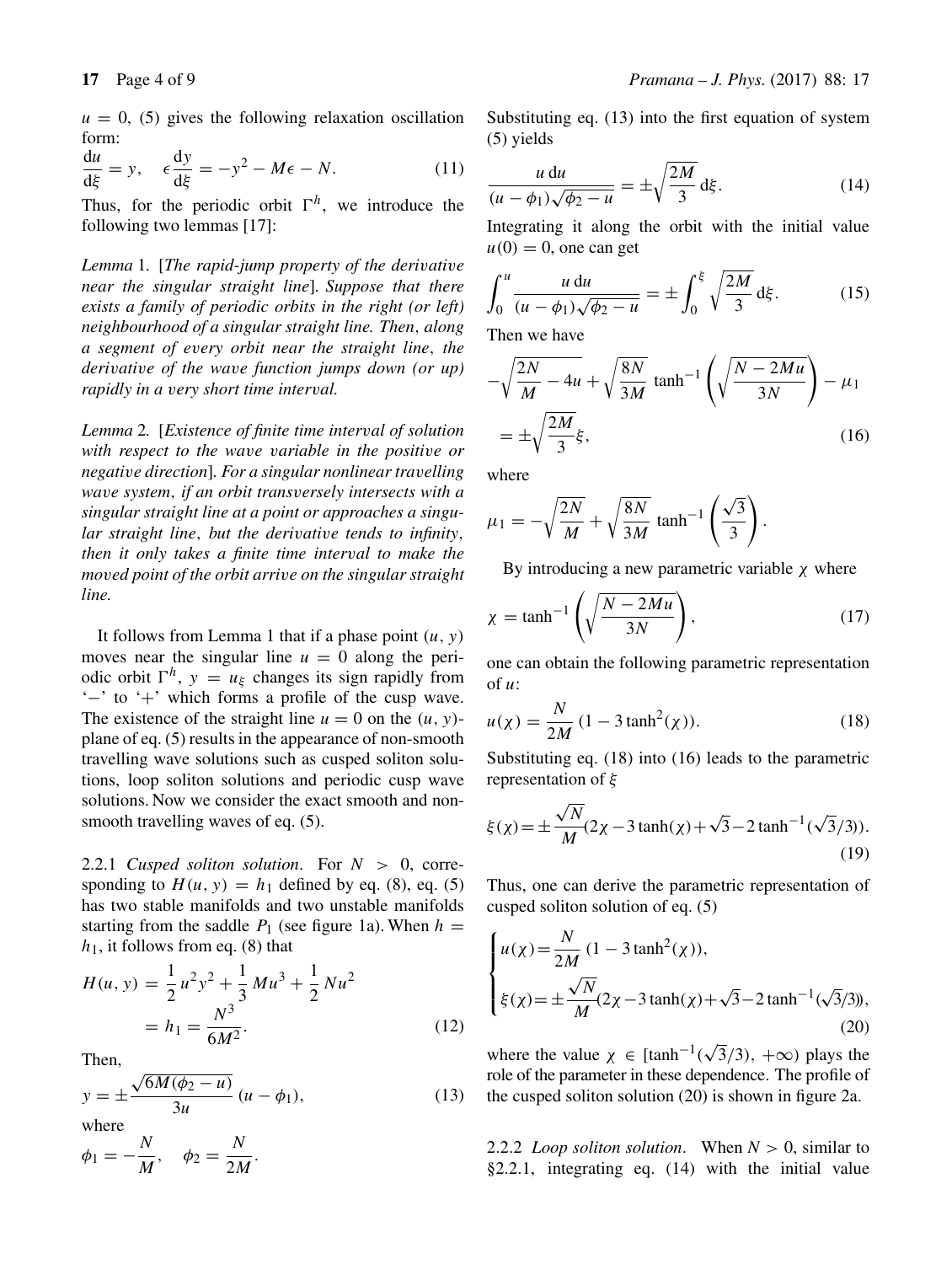$u = 0$ , (5) gives the following relaxation oscillation form:

$$
\frac{du}{d\xi} = y, \quad \epsilon \frac{dy}{d\xi} = -y^2 - M\epsilon - N.
$$
 (11)

Thus, for the periodic orbit  $\Gamma^h$ , we introduce the following two lemmas [17]. following two lemmas [17]:

*Lemma* <sup>1</sup>*.* [*The rapid-jump property of the deri*v*ati*v*<sup>e</sup> near the singular straight line*]*. Suppose that there exists a family of periodic orbits in the right (or left) neighbourhood of a singular straight line. Then*, *along a segment of e*v*ery orbit near the straight line*, *the deri*v*ati*v*e of the wa*v*e function jumps down (or up) rapidly in a* v*ery short time inter*v*al.*

*Lemma* <sup>2</sup>*.* [*Existence of finite time inter*v*al of solution with respect to the wa*v*<sup>e</sup>* v*ariable in the positi*v*e or negati*v*e direction*]*. For a singular nonlinear tra*v*elling wa*v*e system*, *if an orbit trans*v*ersely intersects with a singular straight line at a point or approaches a singular straight line*, *but the deri*v*ati*v*e tends to infinity*, *then it only takes a finite time inter*v*al to make the mo*v*ed point of the orbit arri*v*e on the singular straight line.*

It follows from Lemma 1 that if a phase point  $(u, y)$ moves near the singular line  $u = 0$  along the periodic orbit  $\Gamma^h$ ,  $y = u_{\xi}$  changes its sign rapidly from '−' to '+' which forms a profile of the cusp wave. The existence of the straight line  $u = 0$  on the  $(u, y)$ plane of eq. (5) results in the appearance of non-smooth travelling wave solutions such as cusped soliton solutions, loop soliton solutions and periodic cusp wave solutions. Now we consider the exact smooth and nonsmooth travelling waves of eq. (5).

2.2.1 *Cusped soliton solution*. For  $N > 0$ , corresponding to  $H(u, y) = h_1$  defined by eq. (8), eq. (5) has two stable manifolds and two unstable manifolds starting from the saddle  $P_1$  (see figure 1a). When  $h =$  $h_1$ , it follows from eq. (8) that

$$
H(u, y) = \frac{1}{2}u^2y^2 + \frac{1}{3}Mu^3 + \frac{1}{2}Nu^2
$$
  
=  $h_1 = \frac{N^3}{6M^2}$ . (12)

Then,

$$
y = \pm \frac{\sqrt{6M(\phi_2 - u)}}{3u} (u - \phi_1),
$$
 (13)

where

$$
\phi_1=-\frac{N}{M}, \quad \phi_2=\frac{N}{2M}.
$$

Substituting eq. (13) into the first equation of system (5) yields

$$
\frac{u \, \mathrm{d}u}{(u - \phi_1)\sqrt{\phi_2 - u}} = \pm \sqrt{\frac{2M}{3}} \, \mathrm{d}\xi. \tag{14}
$$

Integrating it along the orbit with the initial value  $u(0) = 0$ , one can get

$$
\int_0^u \frac{u \, du}{(u - \phi_1)\sqrt{\phi_2 - u}} = \pm \int_0^{\xi} \sqrt{\frac{2M}{3}} \, d\xi. \tag{15}
$$

Then we have

$$
-\sqrt{\frac{2N}{M} - 4u} + \sqrt{\frac{8N}{3M}} \tanh^{-1}\left(\sqrt{\frac{N - 2Mu}{3N}}\right) - \mu_1
$$

$$
= \pm \sqrt{\frac{2M}{3}}\xi, \tag{16}
$$

where

$$
\mu_1 = -\sqrt{\frac{2N}{M}} + \sqrt{\frac{8N}{3M}} \tanh^{-1}\left(\frac{\sqrt{3}}{3}\right).
$$

By introducing a new parametric variable  $\chi$  where

$$
\chi = \tanh^{-1}\left(\sqrt{\frac{N - 2Mu}{3N}}\right),\tag{17}
$$

one can obtain the following parametric representation of  $u$ :

$$
u(\chi) = \frac{N}{2M} (1 - 3 \tanh^2(\chi)).
$$
 (18)  
Substituting eq. (18) into (16) leads to the parametric

representation of ξ

$$
\xi(\chi) = \pm \frac{\sqrt{N}}{M} (2\chi - 3\tanh(\chi) + \sqrt{3} - 2\tanh^{-1}(\sqrt{3}/3)).
$$
\n(19)

Thus, one can derive the parametric representation of cusped soliton solution of eq. (5)

$$
\begin{cases}\nu(\chi) = \frac{N}{2M} (1 - 3 \tanh^2(\chi)), \\
\xi(\chi) = \pm \frac{\sqrt{N}}{M} (2\chi - 3 \tanh(\chi) + \sqrt{3} - 2 \tanh^{-1}(\sqrt{3}/3)),\n\end{cases}
$$
\n(20)

where the value  $\chi \in [\tanh^{-1}(\sqrt{3}/3), +\infty)$  plays the role of the parameter in these dependence. The profile of role of the parameter in these dependence. The profile of the cusped soliton solution (20) is shown in figure 2a.

2.2.2 *Loop soliton solution*. When  $N > 0$ , similar to §2.2.1, integrating eq. (14) with the initial value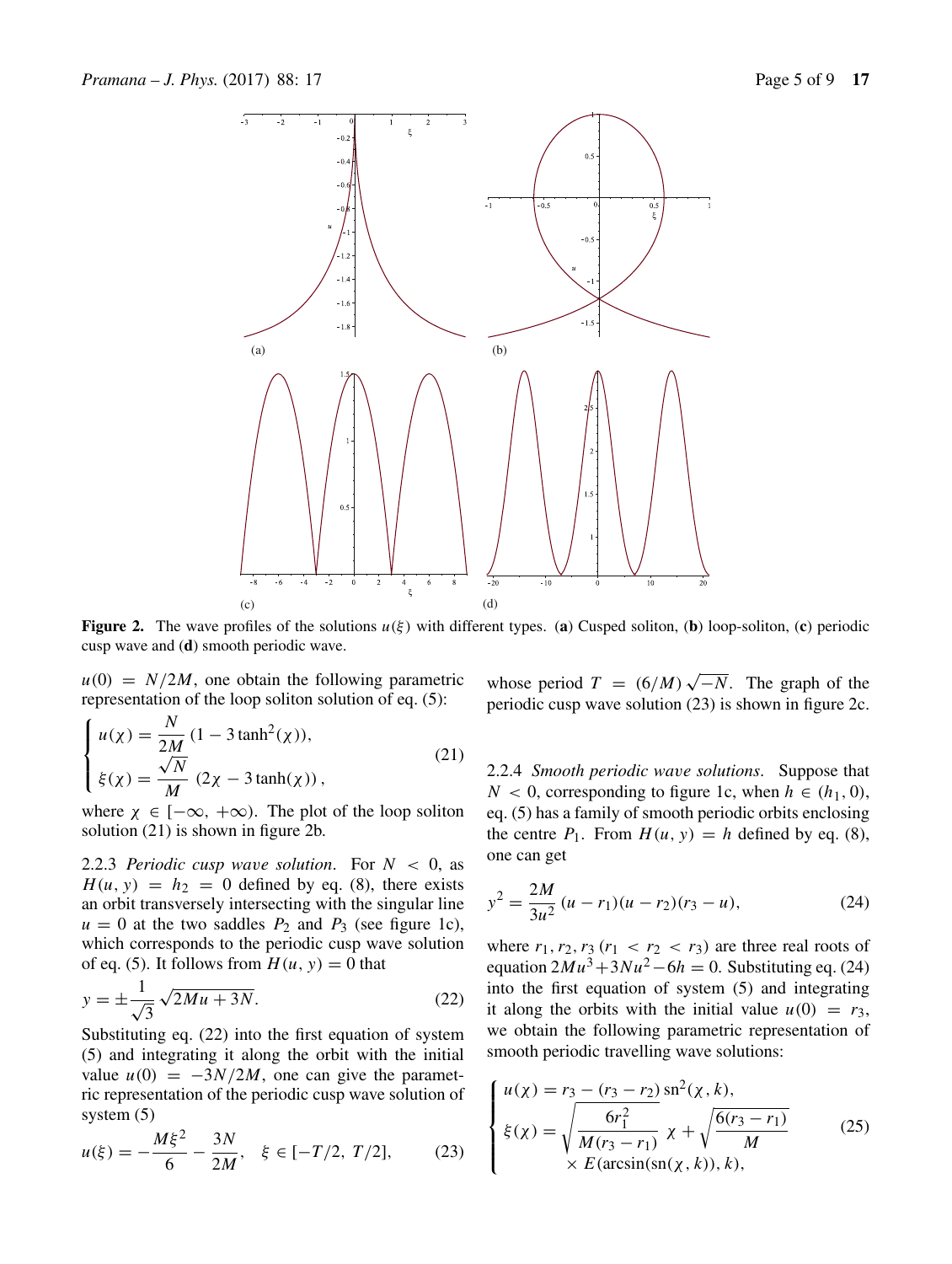

**Figure 2.** The wave profiles of the solutions  $u(\xi)$  with different types. (a) Cusped soliton, (b) loop-soliton, (c) periodic cusp wave and (**d**) smooth periodic wave.

 $u(0) = N/2M$ , one obtain the following parametric representation of the loop soliton solution of eq. (5):

$$
\begin{cases}\nu(\chi) = \frac{N}{2M} (1 - 3 \tanh^2(\chi)),\n\xi(\chi) = \frac{\sqrt{N}}{M} (2\chi - 3 \tanh(\chi)),\n\end{cases}
$$
\n(21)  
\nwhere  $\chi \in [-\infty, +\infty)$ . The plot of the loop solution

where  $\chi \in [-\infty, +\infty)$ . The plot of the loop soliton solution (21) is shown in figure 2b solution (21) is shown in figure 2b.

2.2.3 *Periodic cusp wave solution*. For  $N < 0$ , as  $H(u, y) = h_2 = 0$  defined by eq. (8), there exists an orbit transversely intersecting with the singular line  $u = 0$  at the two saddles  $P_2$  and  $P_3$  (see figure 1c), which corresponds to the periodic cusp wave solution of eq. (5). It follows from  $H(u, y) = 0$  that

$$
y = \pm \frac{1}{\sqrt{3}} \sqrt{2Mu + 3N}.
$$
 (22)

Substituting eq. (22) into the first equation of system (5) and integrating it along the orbit with the initial value  $u(0) = -3N/2M$ , one can give the parametric representation of the periodic cusp wave solution of system (5)

$$
u(\xi) = -\frac{M\xi^2}{6} - \frac{3N}{2M}, \quad \xi \in [-T/2, T/2], \tag{23}
$$

whose period  $T = (6/M) \sqrt{-N}$ . The graph of the periodic cusp wave solution (23) is shown in figure 2c.

2.2.4 *Smooth periodic wa*v*e solutions*. Suppose that  $N < 0$ , corresponding to figure 1c, when  $h \in (h_1, 0)$ , eq. (5) has a family of smooth periodic orbits enclosing the centre  $P_1$ . From  $H(u, y) = h$  defined by eq. (8), one can get

$$
y^{2} = \frac{2M}{3u^{2}}(u - r_{1})(u - r_{2})(r_{3} - u),
$$
\n(24)

where  $r_1$ ,  $r_2$ ,  $r_3$  ( $r_1 < r_2 < r_3$ ) are three real roots of equation  $2Mu^3 + 3Nu^2 - 6h = 0$ . Substituting eq. (24) into the first equation of system (5) and integrating it along the orbits with the initial value  $u(0) = r_3$ , we obtain the following parametric representation of smooth periodic travelling wave solutions:

$$
\begin{cases}\n u(\chi) = r_3 - (r_3 - r_2) \operatorname{sn}^2(\chi, k), \\
 \xi(\chi) = \sqrt{\frac{6r_1^2}{M(r_3 - r_1)}} \chi + \sqrt{\frac{6(r_3 - r_1)}{M}} \\
 \times E(\arcsin(\mathrm{sn}(\chi, k)), k),\n\end{cases}
$$
\n(25)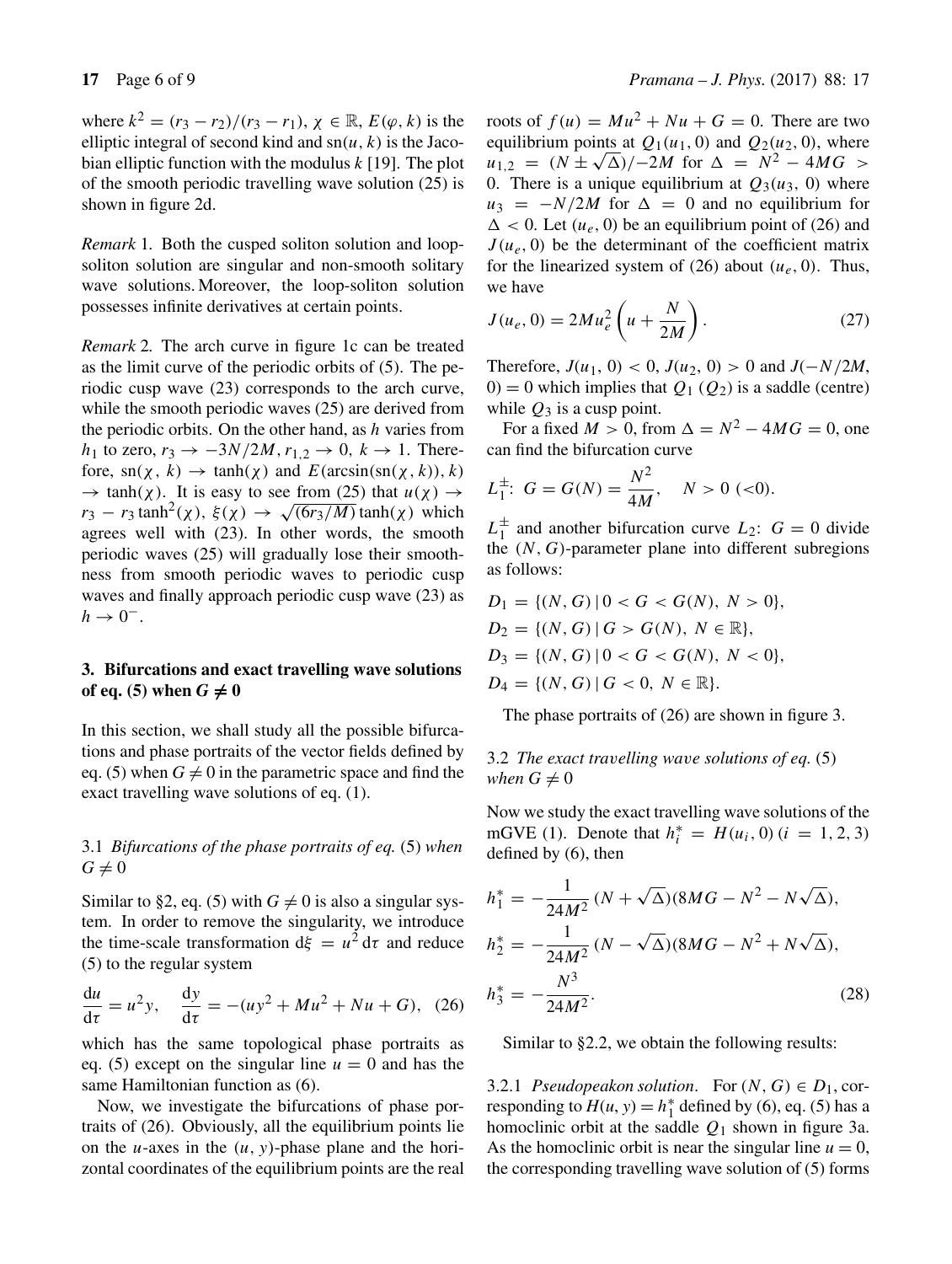where  $k^{2} = (r_{3} - r_{2})/(r_{3} - r_{1}), \chi \in \mathbb{R}, E(\varphi, k)$  is the elliptic integral of second kind and  $\text{sn}(u, k)$  is the Jacobian elliptic function with the modulus  $k$  [19]. The plot of the smooth periodic travelling wave solution (25) is shown in figure 2d.

*Remark* 1*.* Both the cusped soliton solution and loopsoliton solution are singular and non-smooth solitary wave solutions. Moreover, the loop-soliton solution possesses infinite derivatives at certain points.

*Remark* 2*.* The arch curve in figure 1c can be treated as the limit curve of the periodic orbits of (5). The periodic cusp wave (23) corresponds to the arch curve, while the smooth periodic waves (25) are derived from the periodic orbits. On the other hand, as  $h$  varies from  $h_1$  to zero,  $r_3 \rightarrow -3N/2M$ ,  $r_{1,2} \rightarrow 0$ ,  $k \rightarrow 1$ . Therefore, sn( $\chi$ ,  $k$ )  $\rightarrow$  tanh( $\chi$ ) and  $E(\arcsin(\text{sn}(\chi, k)), k)$  $\rightarrow$  tanh(x). It is easy to see from (25) that  $u(\chi) \rightarrow$  $r_3 - r_3 \tanh^2(\chi), \xi(\chi) \rightarrow \sqrt{(6r_3/M)} \tanh(\chi)$  which agrees well with (23). In other words, the smooth periodic waves (25) will gradually lose their smoothness from smooth periodic waves to periodic cusp waves and finally approach periodic cusp wave (23) as  $h \rightarrow 0^-$ .

# **3. Bifurcations and exact travelling wave solutions of eq.** (5) when  $G \neq 0$

In this section, we shall study all the possible bifurcations and phase portraits of the vector fields defined by eq. (5) when  $G \neq 0$  in the parametric space and find the exact travelling wave solutions of eq. (1).

# 3.1 *Bifurcations of the phase portraits of eq.* (5) *when*  $G \neq 0$

Similar to §2, eq. (5) with  $G \neq 0$  is also a singular system. In order to remove the singularity, we introduce the time-scale transformation  $d\xi = u^2 d\tau$  and reduce (5) to the regular system

$$
\frac{du}{d\tau} = u^2 y, \quad \frac{dy}{d\tau} = -(uy^2 + Mu^2 + Nu + G), \tag{26}
$$

which has the same topological phase portraits as eq. (5) except on the singular line  $u = 0$  and has the same Hamiltonian function as (6).

Now, we investigate the bifurcations of phase portraits of (26). Obviously, all the equilibrium points lie on the *u*-axes in the  $(u, y)$ -phase plane and the horizontal coordinates of the equilibrium points are the real roots of  $f(u) = Mu^2 + Nu + G = 0$ . There are two equilibrium points at  $Q_1(u_1, 0)$  and  $Q_2(u_2, 0)$ , where  $u_{1,2} = (N \pm \sqrt{\Delta})/2M$  for  $\Delta = N^2 - 4MG >$ 0. There is a unique equilibrium at  $Q_3(u_3, 0)$  where  $u_3 = -N/2M$  for  $\Delta = 0$  and no equilibrium for  $\Delta$  < 0. Let  $(u_e, 0)$  be an equilibrium point of (26) and  $J(u_e, 0)$  be the determinant of the coefficient matrix for the linearized system of (26) about  $(u_e, 0)$ . Thus, we have

$$
J(u_e, 0) = 2Mu_e^2 \left( u + \frac{N}{2M} \right).
$$
 (27)

Therefore,  $J(u_1, 0) < 0$ ,  $J(u_2, 0) > 0$  and  $J(-N/2M)$ , 0) = 0 which implies that  $Q_1$  ( $Q_2$ ) is a saddle (centre) while  $Q_3$  is a cusp point. while  $Q_3$  is a cusp point.<br>For a fixed  $M > 0$  from

For a fixed  $M > 0$ , from  $\Delta = N^2 - 4MG = 0$ , one<br>n find the bifurcation curve can find the bifurcation curve

$$
L_1^{\pm}: G = G(N) = \frac{N^2}{4M}, \quad N > 0 \; (<0).
$$

 $L_1^{\pm}$  and another bifurcation curve  $L_2$ :  $G = 0$  divide<br>the *(N, G*)-parameter plane into different subregions the  $(N, G)$ -parameter plane into different subregions as follows:

$$
D_1 = \{ (N, G) \mid 0 < G < G(N), N > 0 \},
$$
\n
$$
D_2 = \{ (N, G) \mid G > G(N), N \in \mathbb{R} \},
$$
\n
$$
D_3 = \{ (N, G) \mid 0 < G < G(N), N < 0 \},
$$
\n
$$
D_4 = \{ (N, G) \mid G < 0, N \in \mathbb{R} \}.
$$

The phase portraits of (26) are shown in figure 3.

# 3.2 *The exact tra*v*elling wa*v*e solutions of eq.* (5) *when*  $G \neq 0$

Now we study the exact travelling wave solutions of the mGVE (1). Denote that  $h_i^* = H(u_i, 0)$   $(i = 1, 2, 3)$ <br>defined by (6) then defined by (6), then

$$
h_1^* = -\frac{1}{24M^2} (N + \sqrt{\Delta})(8MG - N^2 - N\sqrt{\Delta}),
$$
  
\n
$$
h_2^* = -\frac{1}{24M^2} (N - \sqrt{\Delta})(8MG - N^2 + N\sqrt{\Delta}),
$$
  
\n
$$
h_3^* = -\frac{N^3}{24M^2}.
$$
\n(28)

Similar to §2.2, we obtain the following results:

3.2.1 *Pseudopeakon solution*. For  $(N, G) \in D_1$ , corresponding to  $H(u, y) = h_1^*$  defined by (6), eq. (5) has a<br>homoclinic orbit at the saddle  $Q_1$  shown in figure 3a homoclinic orbit at the saddle  $Q_1$  shown in figure 3a. As the homoclinic orbit is near the singular line  $u = 0$ , the corresponding travelling wave solution of (5) forms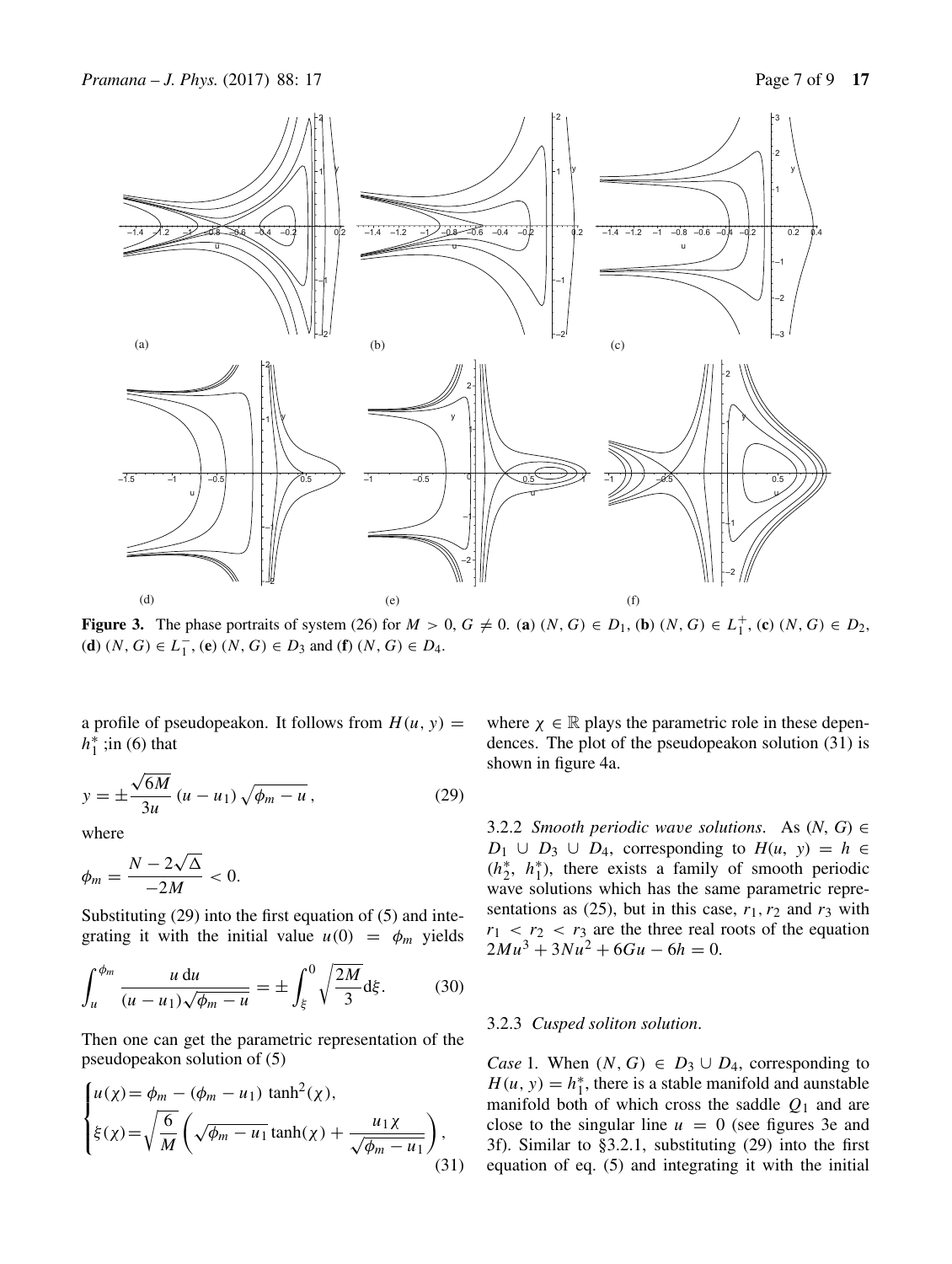

**Figure 3.** The phase portraits of system (26) for  $M > 0$ ,  $G ≠ 0$ . (**a**)  $(N, G) ∈ D_1$ , (**b**)  $(N, G) ∈ L_1^+$ , (**c**)  $(N, G) ∈ D_2$ , (**d**)  $(N, G) ∈ L_1^-$  (**c**)  $(N, G) ∈ D_2$ **(d)** (*N*, *G*) ∈  $L_1^-$ , (**e**) (*N*, *G*) ∈  $D_3$  and (**f**) (*N*, *G*) ∈  $D_4$ .

a profile of pseudopeakon. It follows from  $H(u, y) =$  $h_1^*$ ;in (6) that

$$
y = \pm \frac{\sqrt{6M}}{3u} (u - u_1) \sqrt{\phi_m - u}, \qquad (29)
$$

where

$$
\phi_m = \frac{N - 2\sqrt{\Delta}}{-2M} < 0.
$$

Substituting (29) into the first equation of (5) and integrating it with the initial value  $u(0) = \phi_m$  yields

$$
\int_{u}^{\phi_m} \frac{u \, \mathrm{d}u}{(u - u_1)\sqrt{\phi_m - u}} = \pm \int_{\xi}^{0} \sqrt{\frac{2M}{3}} \mathrm{d}\xi. \tag{30}
$$

Then one can get the parametric representation of the pseudopeakon solution of (5)

$$
\begin{cases}\nu(\chi) = \phi_m - (\phi_m - u_1) \tanh^2(\chi), \\
\dot{\xi}(\chi) = \sqrt{\frac{6}{M}} \left( \sqrt{\phi_m - u_1} \tanh(\chi) + \frac{u_1 \chi}{\sqrt{\phi_m - u_1}} \right),\n\end{cases} (31)
$$

where  $\chi \in \mathbb{R}$  plays the parametric role in these dependences. The plot of the pseudopeakon solution (31) is shown in figure 4a.

3.2.2 *Smooth periodic wave solutions*. As  $(N, G) \in$  $D_1$  ∪  $D_3$  ∪  $D_4$ , corresponding to  $H(u, y) = h$  ∈  $(h_2^*, h_1^*)$ , there exists a family of smooth periodic<br>wave solutions which has the same parametric reprewave solutions which has the same parametric representations as (25), but in this case,  $r_1$ ,  $r_2$  and  $r_3$  with  $r_1 < r_2 < r_3$  are the three real roots of the equation<br> $2Mu^3 + 3Nu^2 + 6Gu - 6h - 0$  $2Mu^3 + 3Nu^2 + 6Gu - 6h = 0.$ 

#### 3.2.3 *Cusped soliton solution*.

*Case* 1*.* When  $(N, G) \in D_3 \cup D_4$ , corresponding to  $H(u, y) = h_1^*$ , there is a stable manifold and aunstable<br>manifold both of which cross the saddle  $Q_1$  and are manifold both of which cross the saddle  $Q_1$  and are close to the singular line  $u = 0$  (see figures 3e and 3f). Similar to §3.2.1, substituting (29) into the first equation of eq. (5) and integrating it with the initial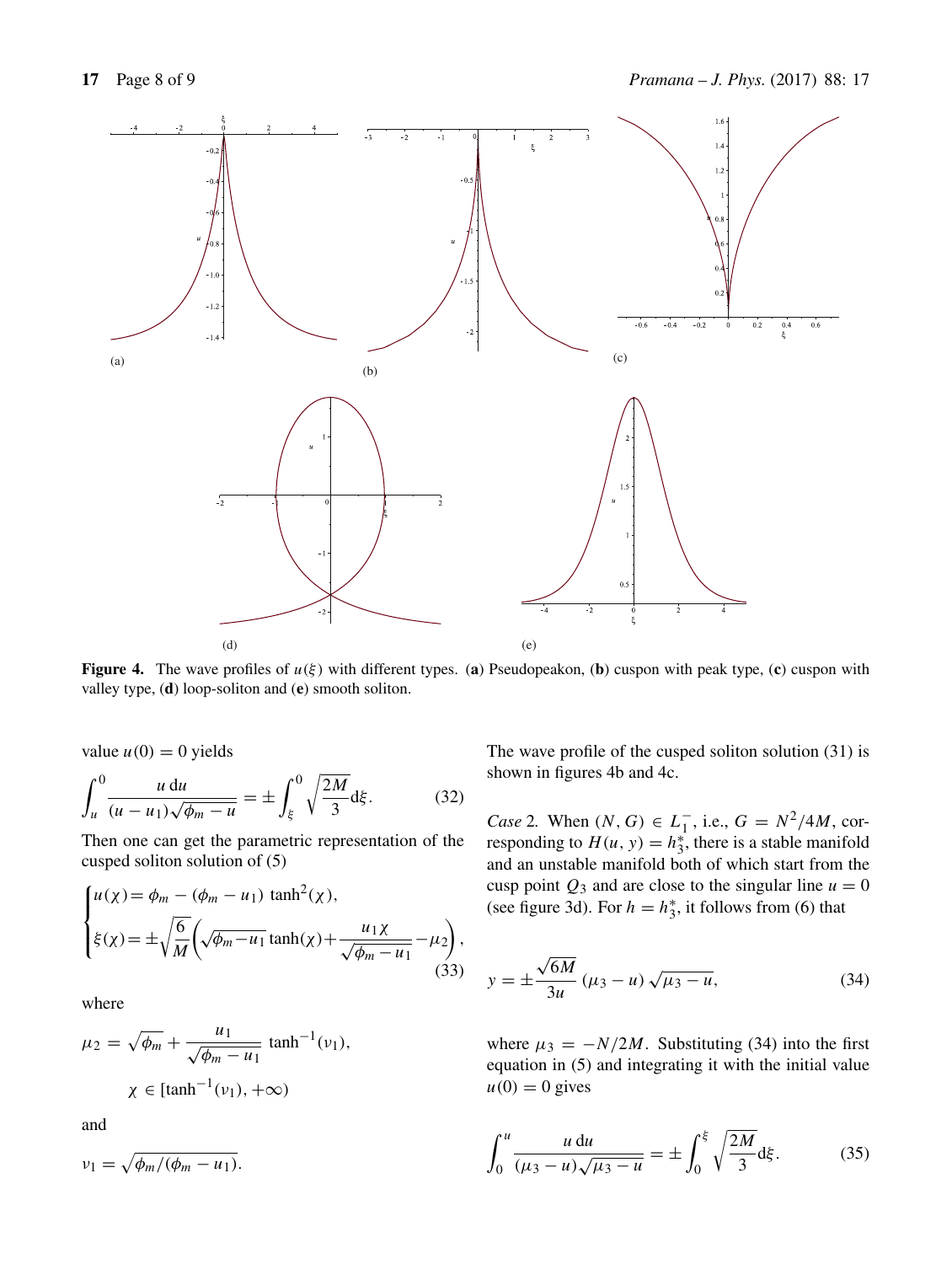

**Figure 4.** The wave profiles of  $u(\xi)$  with different types. (**a**) Pseudopeakon, (**b**) cuspon with peak type, (**c**) cuspon with valley type, (**d**) loop-soliton and (**e**) smooth soliton.

value  $u(0) = 0$  yields

$$
\int_{u}^{0} \frac{u \, du}{(u - u_1)\sqrt{\phi_m - u}} = \pm \int_{\xi}^{0} \sqrt{\frac{2M}{3}} d\xi. \tag{32}
$$

Then one can get the parametric representation of the cusped soliton solution of (5)

$$
\begin{cases}\n u(\chi) = \phi_m - (\phi_m - u_1) \tanh^2(\chi), \\
 \xi(\chi) = \pm \sqrt{\frac{6}{M}} \left( \sqrt{\phi_m - u_1} \tanh(\chi) + \frac{u_1 \chi}{\sqrt{\phi_m - u_1}} - \mu_2 \right),\n\end{cases} (33)
$$

where

$$
\mu_2 = \sqrt{\phi_m} + \frac{u_1}{\sqrt{\phi_m - u_1}} \tanh^{-1}(\nu_1),
$$
  

$$
\chi \in [\tanh^{-1}(\nu_1), +\infty)
$$

and

 $v_1 = \sqrt{\phi_m/(\phi_m - u_1)}.$ 

The wave profile of the cusped soliton solution (31) is shown in figures 4b and 4c.

*Case* 2. When  $(N, G) \in L_1^-$ , i.e.,  $G = N^2/4M$ , corresponding to  $H(\mu, \nu) = h^*$  there is a stable manifold responding to  $H(u, y) = h_3^*$ , there is a stable manifold<br>and an unstable manifold both of which start from the and an unstable manifold both of which start from the cusp point  $Q_3$  and are close to the singular line  $u = 0$ (see figure 3d). For  $h = h_3^*$ , it follows from (6) that

$$
y = \pm \frac{\sqrt{6M}}{3u} (\mu_3 - u) \sqrt{\mu_3 - u},
$$
 (34)

where  $\mu_3 = -N/2M$ . Substituting (34) into the first equation in (5) and integrating it with the initial value  $u(0) = 0$  gives

$$
\int_0^u \frac{u \, du}{(\mu_3 - u)\sqrt{\mu_3 - u}} = \pm \int_0^{\xi} \sqrt{\frac{2M}{3}} d\xi. \tag{35}
$$